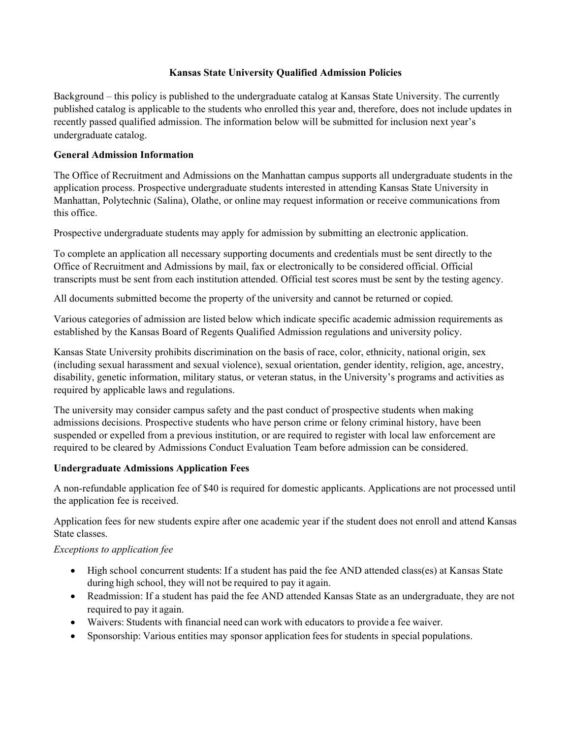### **Kansas State University Qualified Admission Policies**

Background – this policy is published to the undergraduate catalog at Kansas State University. The currently published catalog is applicable to the students who enrolled this year and, therefore, does not include updates in recently passed qualified admission. The information below will be submitted for inclusion next year's undergraduate catalog.

### **General Admission Information**

The Office of Recruitment and Admissions on the Manhattan campus supports all undergraduate students in the application process. Prospective undergraduate students interested in attending Kansas State University in Manhattan, Polytechnic (Salina), Olathe, or online may request information or receive communications from this office.

Prospective undergraduate students may apply for admission by submitting an electronic application.

To complete an application all necessary supporting documents and credentials must be sent directly to the Office of Recruitment and Admissions by mail, fax or electronically to be considered official. Official transcripts must be sent from each institution attended. Official test scores must be sent by the testing agency.

All documents submitted become the property of the university and cannot be returned or copied.

Various categories of admission are listed below which indicate specific academic admission requirements as established by the Kansas Board of Regents Qualified Admission regulations and university policy.

Kansas State University prohibits discrimination on the basis of race, color, ethnicity, national origin, sex (including sexual harassment and sexual violence), sexual orientation, gender identity, religion, age, ancestry, disability, genetic information, military status, or veteran status, in the University's programs and activities as required by applicable laws and regulations.

The university may consider campus safety and the past conduct of prospective students when making admissions decisions. Prospective students who have person crime or felony criminal history, have been suspended or expelled from a previous institution, or are required to register with local law enforcement are required to be cleared by Admissions Conduct Evaluation Team before admission can be considered.

#### **Undergraduate Admissions Application Fees**

A non-refundable application fee of \$40 is required for domestic applicants. Applications are not processed until the application fee is received.

Application fees for new students expire after one academic year if the student does not enroll and attend Kansas State classes.

# *Exceptions to application fee*

- High school concurrent students: If a student has paid the fee AND attended class(es) at Kansas State during high school, they will not be required to pay it again.
- Readmission: If a student has paid the fee AND attended Kansas State as an undergraduate, they are not required to pay it again.
- Waivers: Students with financial need can work with educators to provide a fee waiver.
- Sponsorship: Various entities may sponsor application fees for students in special populations.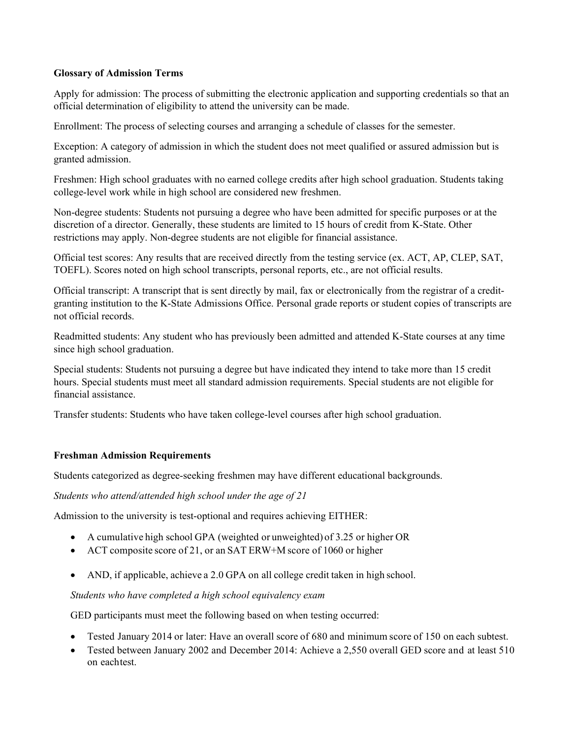#### **Glossary of Admission Terms**

Apply for admission: The process of submitting the electronic application and supporting credentials so that an official determination of eligibility to attend the university can be made.

Enrollment: The process of selecting courses and arranging a schedule of classes for the semester.

Exception: A category of admission in which the student does not meet qualified or assured admission but is granted admission.

Freshmen: High school graduates with no earned college credits after high school graduation. Students taking college-level work while in high school are considered new freshmen.

Non-degree students: Students not pursuing a degree who have been admitted for specific purposes or at the discretion of a director. Generally, these students are limited to 15 hours of credit from K-State. Other restrictions may apply. Non-degree students are not eligible for financial assistance.

Official test scores: Any results that are received directly from the testing service (ex. ACT, AP, CLEP, SAT, TOEFL). Scores noted on high school transcripts, personal reports, etc., are not official results.

Official transcript: A transcript that is sent directly by mail, fax or electronically from the registrar of a creditgranting institution to the K-State Admissions Office. Personal grade reports or student copies of transcripts are not official records.

Readmitted students: Any student who has previously been admitted and attended K-State courses at any time since high school graduation.

Special students: Students not pursuing a degree but have indicated they intend to take more than 15 credit hours. Special students must meet all standard admission requirements. Special students are not eligible for financial assistance.

Transfer students: Students who have taken college-level courses after high school graduation.

# **Freshman Admission Requirements**

Students categorized as degree-seeking freshmen may have different educational backgrounds.

*Students who attend/attended high school under the age of 21*

Admission to the university is test-optional and requires achieving EITHER:

- A cumulative high school GPA (weighted or unweighted) of 3.25 or higher OR
- ACT composite score of 21, or an SAT ERW+M score of 1060 or higher
- AND, if applicable, achieve a 2.0 GPA on all college credit taken in high school.

*Students who have completed a high school equivalency exam*

GED participants must meet the following based on when testing occurred:

- Tested January 2014 or later: Have an overall score of 680 and minimum score of 150 on each subtest.
- Tested between January 2002 and December 2014: Achieve a 2,550 overall GED score and at least 510 on eachtest.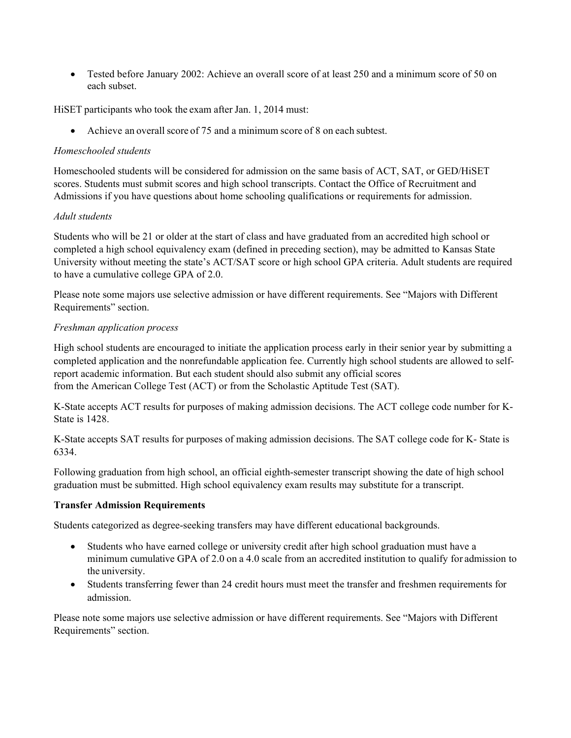• Tested before January 2002: Achieve an overall score of at least 250 and a minimum score of 50 on each subset.

HiSET participants who took the exam after Jan. 1, 2014 must:

• Achieve an overall score of 75 and a minimum score of 8 on each subtest.

#### *Homeschooled students*

Homeschooled students will be considered for admission on the same basis of ACT, SAT, or GED/HiSET scores. Students must submit scores and high school transcripts. Contact the Office of Recruitment and Admissions if you have questions about home schooling qualifications or requirements for admission.

### *Adult students*

Students who will be 21 or older at the start of class and have graduated from an accredited high school or completed a high school equivalency exam (defined in preceding section), may be admitted to Kansas State University without meeting the state's ACT/SAT score or high school GPA criteria. Adult students are required to have a cumulative college GPA of 2.0.

Please note some majors use selective admission or have different requirements. See "Majors with Different Requirements" section.

### *Freshman application process*

High school students are encouraged to initiate the application process early in their senior year by submitting a completed application and the nonrefundable application fee. Currently high school students are allowed to selfreport academic information. But each student should also submit any official scores from the American College Test (ACT) or from the Scholastic Aptitude Test (SAT).

K-State accepts ACT results for purposes of making admission decisions. The ACT college code number for K-State is 1428.

K-State accepts SAT results for purposes of making admission decisions. The SAT college code for K- State is 6334.

Following graduation from high school, an official eighth-semester transcript showing the date of high school graduation must be submitted. High school equivalency exam results may substitute for a transcript.

# **Transfer Admission Requirements**

Students categorized as degree-seeking transfers may have different educational backgrounds.

- Students who have earned college or university credit after high school graduation must have a minimum cumulative GPA of 2.0 on a 4.0 scale from an accredited institution to qualify for admission to the university.
- Students transferring fewer than 24 credit hours must meet the transfer and freshmen requirements for admission.

Please note some majors use selective admission or have different requirements. See "Majors with Different Requirements" section.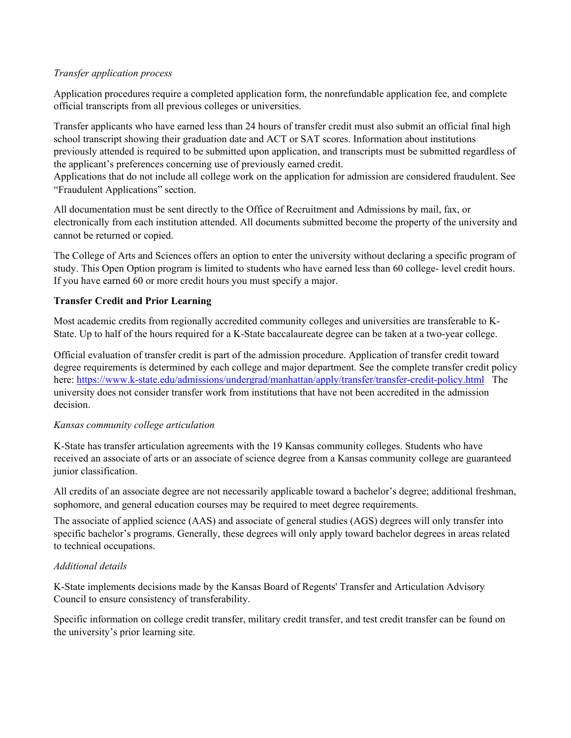### *Transfer application process*

Application procedures require a completed application form, the nonrefundable application fee, and complete official transcripts from all previous colleges or universities.

Transfer applicants who have earned less than 24 hours of transfer credit must also submit an official final high school transcript showing their graduation date and ACT or SAT scores. Information about institutions previously attended is required to be submitted upon application, and transcripts must be submitted regardless of the applicant's preferences concerning use of previously earned credit.

Applications that do not include all college work on the application for admission are considered fraudulent. See "Fraudulent Applications" section.

All documentation must be sent directly to the Office of Recruitment and Admissions by mail, fax, or electronically from each institution attended. All documents submitted become the property of the university and cannot be returned or copied.

The College of Arts and Sciences offers an option to enter the university without declaring a specific program of study. This Open Option program is limited to students who have earned less than 60 college- level credit hours. If you have earned 60 or more credit hours you must specify a major.

# **Transfer Credit and Prior Learning**

Most academic credits from regionally accredited community colleges and universities are transferable to K-State. Up to half of the hours required for a K-State baccalaureate degree can be taken at a two-year college.

Official evaluation of transfer credit is part of the admission procedure. Application of transfer credit toward degree requirements is determined by each college and major department. See the complete transfer credit policy here:<https://www.k-state.edu/admissions/undergrad/manhattan/apply/transfer/transfer-credit-policy.html> The university does not consider transfer work from institutions that have not been accredited in the admission decision.

#### *Kansas community college articulation*

K-State has transfer articulation agreements with the 19 Kansas community colleges. Students who have received an associate of arts or an associate of science degree from a Kansas community college are guaranteed junior classification.

All credits of an associate degree are not necessarily applicable toward a bachelor's degree; additional freshman, sophomore, and general education courses may be required to meet degree requirements.

The associate of applied science (AAS) and associate of general studies (AGS) degrees will only transfer into specific bachelor's programs. Generally, these degrees will only apply toward bachelor degrees in areas related to technical occupations.

# *Additional details*

K-State implements decisions made by the Kansas Board of Regents' Transfer and Articulation Advisory Council to ensure consistency of transferability.

Specific information on college credit transfer, military credit transfer, and test credit transfer can be found on the university's prior learning site.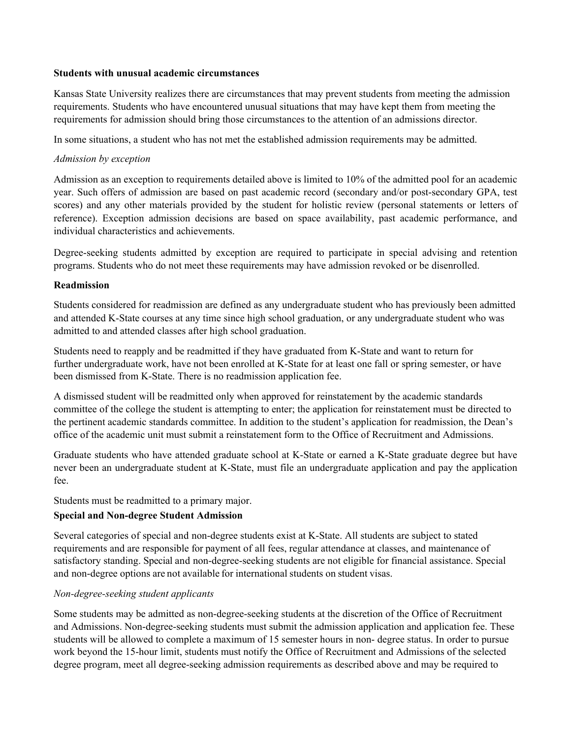#### **Students with unusual academic circumstances**

Kansas State University realizes there are circumstances that may prevent students from meeting the admission requirements. Students who have encountered unusual situations that may have kept them from meeting the requirements for admission should bring those circumstances to the attention of an admissions director.

In some situations, a student who has not met the established admission requirements may be admitted.

#### *Admission by exception*

Admission as an exception to requirements detailed above is limited to 10% of the admitted pool for an academic year. Such offers of admission are based on past academic record (secondary and/or post-secondary GPA, test scores) and any other materials provided by the student for holistic review (personal statements or letters of reference). Exception admission decisions are based on space availability, past academic performance, and individual characteristics and achievements.

Degree-seeking students admitted by exception are required to participate in special advising and retention programs. Students who do not meet these requirements may have admission revoked or be disenrolled.

### **Readmission**

Students considered for readmission are defined as any undergraduate student who has previously been admitted and attended K-State courses at any time since high school graduation, or any undergraduate student who was admitted to and attended classes after high school graduation.

Students need to reapply and be readmitted if they have graduated from K-State and want to return for further undergraduate work, have not been enrolled at K-State for at least one fall or spring semester, or have been dismissed from K-State. There is no readmission application fee.

A dismissed student will be readmitted only when approved for reinstatement by the academic standards committee of the college the student is attempting to enter; the application for reinstatement must be directed to the pertinent academic standards committee. In addition to the student's application for readmission, the Dean's office of the academic unit must submit a reinstatement form to the Office of Recruitment and Admissions.

Graduate students who have attended graduate school at K-State or earned a K-State graduate degree but have never been an undergraduate student at K-State, must file an undergraduate application and pay the application fee.

Students must be readmitted to a primary major.

# **Special and Non-degree Student Admission**

Several categories of special and non-degree students exist at K-State. All students are subject to stated requirements and are responsible for payment of all fees, regular attendance at classes, and maintenance of satisfactory standing. Special and non-degree-seeking students are not eligible for financial assistance. Special and non-degree options are not available for international students on student visas.

#### *Non-degree-seeking student applicants*

Some students may be admitted as non-degree-seeking students at the discretion of the Office of Recruitment and Admissions. Non-degree-seeking students must submit the admission application and application fee. These students will be allowed to complete a maximum of 15 semester hours in non- degree status. In order to pursue work beyond the 15-hour limit, students must notify the Office of Recruitment and Admissions of the selected degree program, meet all degree-seeking admission requirements as described above and may be required to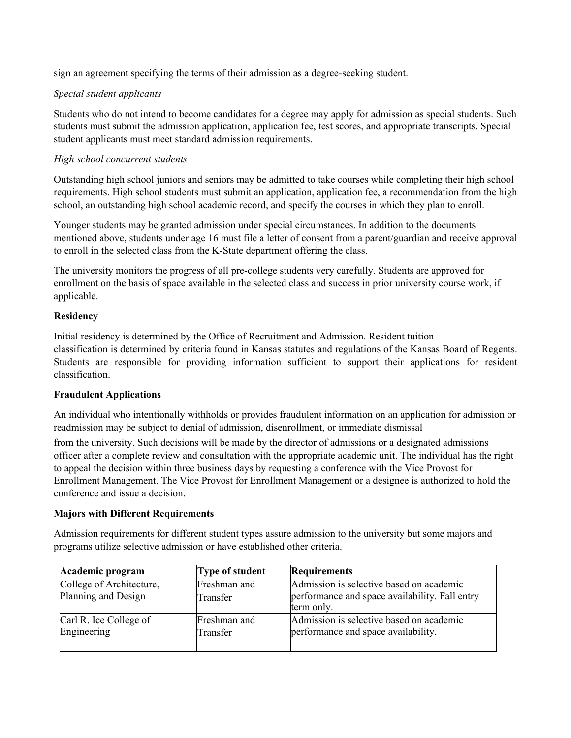sign an agreement specifying the terms of their admission as a degree-seeking student.

### *Special student applicants*

Students who do not intend to become candidates for a degree may apply for admission as special students. Such students must submit the admission application, application fee, test scores, and appropriate transcripts. Special student applicants must meet standard admission requirements.

### *High school concurrent students*

Outstanding high school juniors and seniors may be admitted to take courses while completing their high school requirements. High school students must submit an application, application fee, a recommendation from the high school, an outstanding high school academic record, and specify the courses in which they plan to enroll.

Younger students may be granted admission under special circumstances. In addition to the documents mentioned above, students under age 16 must file a letter of consent from a parent/guardian and receive approval to enroll in the selected class from the K-State department offering the class.

The university monitors the progress of all pre-college students very carefully. Students are approved for enrollment on the basis of space available in the selected class and success in prior university course work, if applicable.

# **Residency**

Initial residency is determined by the Office of Recruitment and Admission. Resident tuition classification is determined by criteria found in Kansas statutes and regulations of the Kansas Board of Regents. Students are responsible for providing information sufficient to support their applications for resident classification.

# **Fraudulent Applications**

An individual who intentionally withholds or provides fraudulent information on an application for admission or readmission may be subject to denial of admission, disenrollment, or immediate dismissal

from the university. Such decisions will be made by the director of admissions or a designated admissions officer after a complete review and consultation with the appropriate academic unit. The individual has the right to appeal the decision within three business days by requesting a conference with the Vice Provost for Enrollment Management. The Vice Provost for Enrollment Management or a designee is authorized to hold the conference and issue a decision.

#### **Majors with Different Requirements**

Admission requirements for different student types assure admission to the university but some majors and programs utilize selective admission or have established other criteria.

| Academic program                                | Type of student          | <b>Requirements</b>                                                                                      |
|-------------------------------------------------|--------------------------|----------------------------------------------------------------------------------------------------------|
| College of Architecture,<br>Planning and Design | Freshman and<br>Transfer | Admission is selective based on academic<br>performance and space availability. Fall entry<br>term only. |
| Carl R. Ice College of<br>Engineering           | Freshman and<br>Transfer | Admission is selective based on academic<br>performance and space availability.                          |